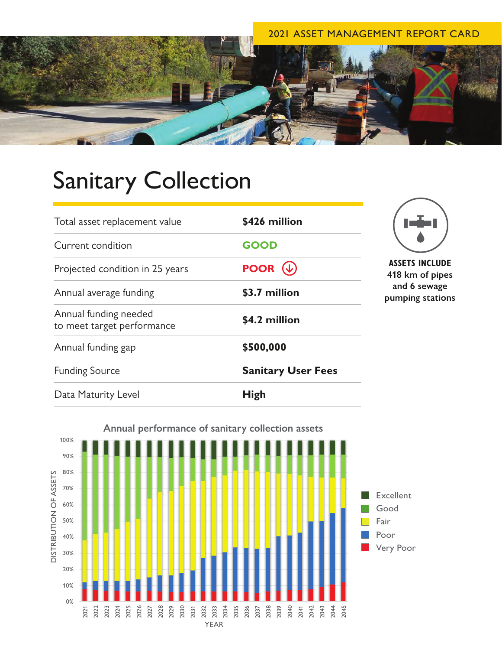### 2021 ASSET MANAGEMENT REPORT CARD



# Sanitary Collection

| Total asset replacement value                        | \$426 million                                           |                                                            |
|------------------------------------------------------|---------------------------------------------------------|------------------------------------------------------------|
| Current condition<br>Projected condition in 25 years | <b>GOOD</b><br><b>POOR</b> $(\downarrow)$               | <b>ASSETS INC</b><br>418 km of<br>and 6 sew<br>pumping sta |
|                                                      |                                                         |                                                            |
| Annual funding needed<br>to meet target performance  | \$4.2 million<br>\$500,000<br><b>Sanitary User Fees</b> |                                                            |
| Annual funding gap                                   |                                                         |                                                            |
| <b>Funding Source</b>                                |                                                         |                                                            |
| Data Maturity Level                                  | <b>High</b>                                             |                                                            |



**LUDE** pipes rage **pumping stations**